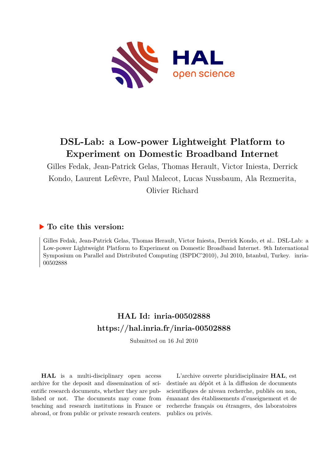

# **DSL-Lab: a Low-power Lightweight Platform to Experiment on Domestic Broadband Internet**

Gilles Fedak, Jean-Patrick Gelas, Thomas Herault, Victor Iniesta, Derrick Kondo, Laurent Lefèvre, Paul Malecot, Lucas Nussbaum, Ala Rezmerita, Olivier Richard

# **To cite this version:**

Gilles Fedak, Jean-Patrick Gelas, Thomas Herault, Victor Iniesta, Derrick Kondo, et al.. DSL-Lab: a Low-power Lightweight Platform to Experiment on Domestic Broadband Internet. 9th International Symposium on Parallel and Distributed Computing (ISPDC'2010), Jul 2010, Istanbul, Turkey. inria-00502888

# **HAL Id: inria-00502888 <https://hal.inria.fr/inria-00502888>**

Submitted on 16 Jul 2010

**HAL** is a multi-disciplinary open access archive for the deposit and dissemination of scientific research documents, whether they are published or not. The documents may come from teaching and research institutions in France or abroad, or from public or private research centers.

L'archive ouverte pluridisciplinaire **HAL**, est destinée au dépôt et à la diffusion de documents scientifiques de niveau recherche, publiés ou non, émanant des établissements d'enseignement et de recherche français ou étrangers, des laboratoires publics ou privés.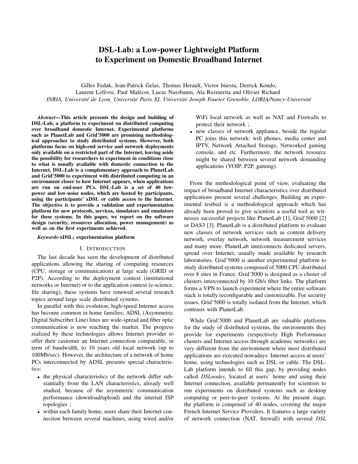# DSL-Lab: a Low-power Lightweight Platform to Experiment on Domestic Broadband Internet

Gilles Fedak, Jean-Patrick Gelas, Thomas Herault, Victor Iniesta, Derrick Kondo, Laurent Lefèvre, Paul Malécot, Lucas Nussbaum, Ala Rezmerita and Olivier Richard *INRIA, Universite de Lyon, Universit ´ e Paris XI, Universit ´ e Joseph Fourier Grenoble, LORIA/Nancy-Universit ´ e´*

*Abstract*—This article presents the design and building of DSL-Lab, a platform to experiment on distributed computing over broadband domestic Internet. Experimental platforms such as PlanetLab and Grid'5000 are promising methodological approaches to study distributed systems. However, both platforms focus on high-end service and network deployments only available on a restricted part of the Internet, leaving aside the possibility for researchers to experiment in conditions close to what is usually available with domestic connection to the Internet. DSL-Lab is a complementary approach to PlanetLab and Grid'5000 to experiment with distributed computing in an environment closer to how Internet appears, when applications are run on end-user PCs. DSL-Lab is a set of 40 lowpower and low-noise nodes, which are hosted by participants, using the participants' xDSL or cable access to the Internet. The objective is to provide a validation and experimentation platform for new protocols, services, simulators and emulators for these systems. In this paper, we report on the software design (security, resources allocation, power management) as well as on the first experiments achieved.

#### *Keywords*-xDSL; experimentation platform

#### I. INTRODUCTION

The last decade has seen the development of distributed applications allowing the sharing of computing resources (CPU, storage or communication) at large scale (GRID or P2P). According to the deployment context (institutional networks or Internet) or to the application context (e-science, file sharing), these systems have renewed several research topics around large scale distributed systems.

In parallel with this evolution, high-speed Internet access has become common in home families; ADSL (Asymmetric Digital Subscriber Line) lines are wide-spread and fiber optic communication is now reaching the market. The progress realized by these technologies allows Internet provider to offer their customer an Internet connection comparable, in term of bandwidth, to 10 years old local network (up to 100Mb/sec). However, the architecture of a network of home PCs interconnected by ADSL presents special characteristics:

- the physical characteristics of the network differ substantially from the LAN characteristics, already well studied, because of the asymmetric communication performance (download/upload) and the internal ISP topologies ;
- within each family home, users share their Internet connection between several machines, using wired and/or

WiFi local network as well as NAT and Firewalls to protect their network ;

new classes of network appliance, beside the regular PC joins this network: wifi phones, media center and IPTV, Network Attached Storage, Networked gaming console, and etc. Furthermore, the network resource might be shared between several network demanding applications (VOIP, P2P, gaming).

From the methodological point of view, evaluating the impact of broadband Internet characteristics over distributed applications present several challenges. Building an experimental testbed is a methodological approach which has already been proved to give scientists a useful tool as witnesses successful projects like PlanetLab [1], Grid'5000 [2] or DAS3 [3]. PlanetLab is a distributed platform to evaluate new classes of network services such as content delivery network, overlay network, network measurement services and many more. PlanetLab interconnects dedicated servers, spread over Internet, usually made available by research laboratories. Grid'5000 is another experimental platform to study distributed systems composed of 5000 CPU distributed over 8 sites in France. Grid'5000 is designed as a cluster of clusters interconnected by 10 Gb/s fiber links. The platform forms a VPN to launch experiment where the entire software stack is totally reconfigurable and customizable. For security issues, Grid'5000 is totally isolated from the Internet, which contrasts with PlanetLab.

While Grid'5000 and PlanetLab are valuable platforms for the study of distributed systems, the environments they provide for experiments (respectively High Performance clusters and Internet access through academic networks) are very different from the environment where most distributed applications are executed nowadays: Internet access at users' home, using technologies such as DSL or cable. The DSL-Lab platform intends to fill this gap, by providing nodes called *DSLnodes*, located at users' home and using their Internet connection, available permanently for scientists to run experiments on distributed systems such as desktop computing or peer-to-peer systems. At the present stage, the platform is composed of 40 nodes, covering the major French Internet Service Providers. It features a large variety of network connection (NAT, firewall) with several *DSL*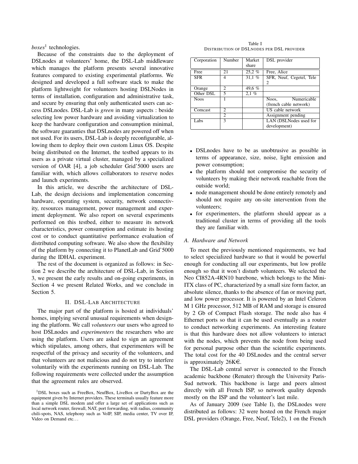*boxes*<sup>1</sup> technologies.

Because of the constraints due to the deployment of DSLnodes at volunteers' home, the DSL-Lab middleware which manages the platform presents several innovative features compared to existing experimental platforms. We designed and developed a full software stack to make the platform lightweight for volunteers hosting DSLNodes in terms of installation, configuration and administrative task, and secure by ensuring that only authenticated users can access DSLnodes. DSL-Lab is *green* in many aspects : beside selecting low power hardware and avoiding virtualization to keep the hardware configuration and consumption minimal, the software guaranties that DSLnodes are powered off when not used. For its users, DSL-Lab is deeply reconfigurable, allowing them to deploy their own custom Linux OS. Despite being distributed on the Internet, the testbed appears to its users as a private virtual cluster, managed by a specialized version of OAR [4], a job scheduler Grid'5000 users are familiar with, which allows collaborators to reserve nodes and launch experiments.

In this article, we describe the architecture of DSL-Lab, the design decisions and implementation concerning hardware, operating system, security, network connectivity, resources management, power management and experiment deployment. We also report on several experiments performed on this testbed, either to measure its network characteristics, power consumption and estimate its hosting cost or to conduct quantitative performance evaluation of distributed computing software. We also show the flexibility of the platform by connecting it to PlanetLab and Grid'5000 during the IDHAL experiment.

The rest of the document is organized as follows: in Section 2 we describe the architecture of DSL-Lab, in Section 3, we present the early results and on-going experiments, in Section 4 we present Related Works, and we conclude in Section 5.

# II. DSL-LAB ARCHITECTURE

The major part of the platform is hosted at individuals' homes, implying several unusual requirements when designing the platform. We call *volunteers* our users who agreed to host DSLnodes and *experimenters* the researchers who are using the platform. Users are asked to sign an agreement which stipulates, among others, that experimenters will be respectful of the privacy and security of the volunteers, and that volunteers are not malicious and do not try to interfere voluntarily with the experiments running on DSL-Lab. The following requirements were collected under the assumption that the agreement rules are observed.

Table I DISTRIBUTION OF DSLNODES PER DSL PROVIDER

| Corporation | Number         | Market   | DSL provider             |  |
|-------------|----------------|----------|--------------------------|--|
|             |                | share    |                          |  |
| Free        | 21             | 25.2%    | Free, Alice              |  |
| <b>SFR</b>  | 4              | $31,1\%$ | SFR, Neuf, Cegetel, Tele |  |
|             |                |          | 2                        |  |
| Orange      | $\overline{c}$ | 49.6 %   |                          |  |
| Other DSL   | 5              | 2,1%     |                          |  |
| <b>Noos</b> |                |          | Numericable<br>Noos,     |  |
|             |                |          | (french cable network)   |  |
| Comcast     | 2              |          | US cable network         |  |
|             | $\overline{c}$ |          | Assignment pending       |  |
| Labs        | 3              |          | LAN (DSLNodes used for   |  |
|             |                |          | development)             |  |

- DSLnodes have to be as unobtrusive as possible in terms of appearance, size, noise, light emission and power consumption;
- the platform should not compromise the security of volunteers by making their network reachable from the outside world;
- node management should be done entirely remotely and should not require any on-site intervention from the volunteers;
- for experimenters, the platform should appear as a traditional cluster in terms of providing all the tools they are familiar with.

#### *A. Hardware and Network*

To meet the previously mentioned requirements, we had to select specialized hardware so that it would be powerful enough for conducting all our experiments, but low profile enough so that it won't disturb volunteers. We selected the Neo CI852A-4RN10 barebone, which belongs to the Mini-ITX class of PC, characterized by a small size form factor, an absolute silence, thanks to the absence of fan or moving part, and low power processor. It is powered by an Intel Celeron M 1 GHz processor, 512 MB of RAM and storage is ensured by 2 Gb of Compact Flash storage. The node also has 4 Ethernet ports so that it can be used eventually as a router to conduct networking experiments. An interesting feature is that this hardware does not allow volunteers to interact with the nodes, which prevents the node from being used for personal purpose other than the scientific experiments. The total cost for the 40 DSLnodes and the central server is approximately  $26K\epsilon$ .

The DSL-Lab central server is connected to the French academic backbone (Renater) through the University Paris-Sud network. This backbone is large and peers almost directly with all French ISP, so network quality depends mostly on the ISP and the volunteer's last mile.

As of January 2009 (see Table I), the DSLnodes were distributed as follows: 32 were hosted on the French major DSL providers (Orange, Free, Neuf, Tele2), 1 on the French

<sup>1</sup>DSL boxes such as FreeBox, NeufBox, LiveBox or DartyBox are the equipment given by Internet providers. These terminals usually feature more than a simple DSL modem and offer a large set of applications such as local network router, firewall, NAT, port forwarding, wifi radius, community chili-spots, NAS, telephony such as VoIP, SIP, media center, TV over IP, Video on Demand etc...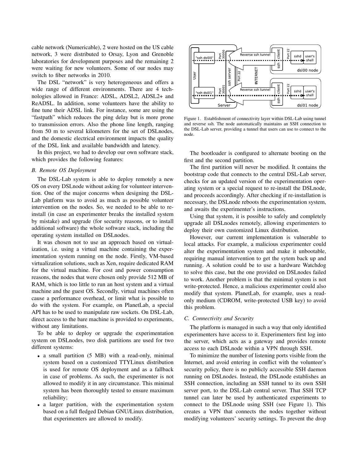cable network (Numericable), 2 were hosted on the US cable network, 3 were distributed to Orsay, Lyon and Grenoble laboratories for development purposes and the remaining 2 were waiting for new volunteers. Some of our nodes may switch to fiber networks in 2010.

The DSL "network" is very heterogeneous and offers a wide range of different environments. There are 4 technologies allowed in France: ADSL, ADSL2, ADSL2+ and ReADSL. In addition, some volunteers have the ability to fine tune their ADSL link. For instance, some are using the "fastpath" which reduces the ping delay but is more prone to transmission errors. Also the phone line length, ranging from 50 m to several kilometers for the set of DSLnodes, and the domestic electrical environment impacts the quality of the DSL link and available bandwidth and latency.

In this project, we had to develop our own software stack, which provides the following features:

## *B. Remote OS Deployment*

The DSL-Lab system is able to deploy remotely a new OS on every DSLnode without asking for volunteer intervention. One of the major concerns when designing the DSL-Lab platform was to avoid as much as possible volunteer intervention on the nodes. So, we needed to be able to reinstall (in case an experimenter breaks the installed system by mistake) and upgrade (for security reasons, or to install additional software) the whole software stack, including the operating system installed on DSLnodes.

It was chosen not to use an approach based on virtualization, i.e. using a virtual machine containing the experimentation system running on the node. Firstly, VM-based virtualization solutions, such as Xen, require dedicated RAM for the virtual machine. For cost and power consumption reasons, the nodes that were chosen only provide 512 MB of RAM, which is too little to run an host system and a virtual machine and the guest OS. Secondly, virtual machines often cause a performance overhead, or limit what is possible to do with the system. For example, on PlanetLab, a special API has to be used to manipulate raw sockets. On DSL-Lab, direct access to the bare machine is provided to experiments, without any limitations.

To be able to deploy or upgrade the experimentation system on DSLnodes, two disk partitions are used for two different systems:

- a small partition (5 MB) with a read-only, minimal system based on a customized TTYLinux distribution is used for remote OS deployment and as a fallback in case of problems. As such, the experimenter is not allowed to modify it in any circumstance. This minimal system has been thoroughly tested to ensure maximum reliability;
- a larger partition, with the experimentation system based on a full fledged Debian GNU/Linux distribution, that experimenters are allowed to modify.



Figure 1. Establishment of connectivity layer within DSL-Lab using tunnel and reverse ssh. The node automatically maintains an SSH connection to the DSL-Lab server, providing a tunnel that users can use to connect to the node.

The bootloader is configured to alternate booting on the first and the second partition.

The first partition will never be modified. It contains the bootstrap code that connects to the central DSL-Lab server, checks for an updated version of the experimentation operating system or a special request to re-install the DSLnode, and proceeds accordingly. After checking if re-installation is necessary, the DSLnode reboots the experimentation system, and awaits the experimenter's instructions.

Using that system, it is possible to safely and completely upgrade all DSLnodes remotely, allowing experimenters to deploy their own customized Linux distribution.

However, our current implementation is vulnerable to local attacks. For example, a malicious experimenter could alter the experimentation system and make it unbootable, requiring manual intervention to get the sytem back up and running. A solution could be to use a hardware Watchdog to solve this case, but the one provided on DSLnodes failed to work. Another problem is that the minimal system is not write-protected. Hence, a malicious experimenter could also modify that system. PlanetLab, for example, uses a readonly medium (CDROM, write-protected USB key) to avoid this problem.

## *C. Connectivity and Security*

The platform is managed in such a way that only identified experimenters have access to it. Experimenters first log into the server, which acts as a gateway and provides remote access to each DSLnode within a VPN through SSH.

To minimize the number of listening ports visible from the Internet, and avoid entering in conflict with the volunteer's security policy, there is no publicly accessible SSH daemon running on DSLnodes. Instead, the DSLnode establishes an SSH connection, including an SSH tunnel to its own SSH server port, to the DSL-Lab central server. That SSH TCP tunnel can later be used by authenticated experiments to connect to the DSLnode using SSH (see Figure 1). This creates a VPN that connects the nodes together without modifying volunteers' security settings. To prevent the drop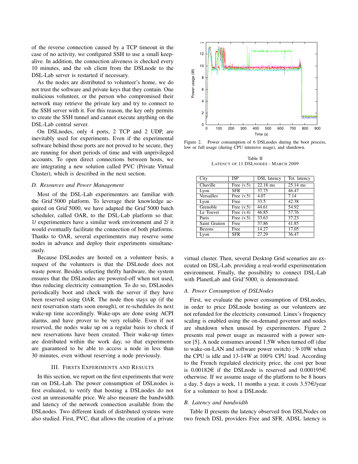of the reverse connection caused by a TCP timeout in the case of no activity, we configured SSH to use a small keepalive. In addition, the connection aliveness is checked every 10 minutes, and the ssh client from the DSLnode to the DSL-Lab server is restarted if necessary.

As the nodes are distributed to volunteer's home, we do not trust the software and private keys that they contain. One malicious volunteer, or the person who compromised their network may retrieve the private key and try to connect to the SSH server with it. For this reason, the key only permits to create the SSH tunnel and cannot execute anything on the DSL-Lab central server.

On DSLnodes, only 4 ports, 2 TCP and 2 UDP, are inevitably used for experiments. Even if the experimental software behind those ports are not proved to be secure, they are running for short periods of time and with unprivileged accounts. To open direct connections between hosts, we are integrating a new solution called PVC (Private Virtual Cluster), which is described in the next section.

#### *D. Resources and Power Management*

Most of the DSL-Lab experimenters are familiar with the Grid'5000 platform. To leverage their knowledge acquired on Grid'5000, we have adapted the Grid'5000 batch scheduler, called OAR, to the DSL-Lab platform so that: 1/ experimenters have a similar work environment and 2/ it would eventually facilitate the connection of both platforms. Thanks to OAR, several experimenters may reserve some nodes in advance and deploy their experiments simultaneously.

Because DSLnodes are hosted on a volunteer basis, a request of the volunteers is that the DSLnode does not waste power. Besides selecting thrifty hardware, the system ensures that the DSLnodes are powered-off when not used, thus reducing electricity consumption. To do so, DSLnodes periodically boot and check with the server if they have been reserved using OAR. The node then stays up (if the next reservation starts soon enough), or re-schedules its next wake-up time accordingly. Wake-ups are done using ACPI alarms, and have prover to be very reliable. Even if not reserved, the nodes wake up on a regular basis to check if new reservations have been created. Their wake-up times are distributed within the work day, so that experiments are guaranteed to be able to access a node in less than 30 minutes, even without reserving a node previously.

#### III. FIRSTS EXPERIMENTS AND RESULTS

In this section, we report on the first experiments that were ran on DSL-Lab. The power consumption of DSLnodes is first evaluated, to verify that hosting a DSLnodes do not cost an unreasonable price. We also measure the bandwidth and latency of the network connection available from the DSLnodes. Two different kinds of distributed systems were also studied. First, PVC, that allows the creation of a private



Figure 2. Power consumption of 6 DSLnodes during the boot process, low or full usage (during CPU intensive usage), and shutdown.

Table II LATENCY OF 11 DSLNODES - MARCH 2009

| City          | <b>ISP</b>   | <b>DSL</b> latency | Tot. latency |
|---------------|--------------|--------------------|--------------|
| Chaville      | Free $(v.5)$ | $22.18$ ms         | $25.14$ ms   |
| Lyon          | <b>SFR</b>   | 37.75              | 46.47        |
| Versailles    | Free $(v.5)$ | 4.07               | 7.14         |
| Lyon          | Free         | 33.5               | 42.38        |
| Grenoble      | Free $(v.5)$ | 44.61              | 54.92        |
| Le Touvet     | Free $(v.4)$ | 46.85              | 57.76        |
| Paris         | Free $(v.5)$ | 33.63              | 37.23        |
| Saint Gratien | Free         | 37.86              | 41.85        |
| <b>Bezons</b> | Free         | 14.27              | 17.05        |
| Lyon          | <b>SFR</b>   | 27.29              | 36.47        |

virtual cluster. Then, several Desktop Grid scenarios are executed on DSL-Lab, providing a real-world experimentation environment. Finally, the possibility to connect DSL-Lab with PlanetLab and Grid'5000, is demonstrated.

## *A. Power Consumption of DSLNodes*

First, we evaluate the power consumption of DSLnodes, in order to price DSLnode hosting as our volunteers are not refunded for the electricity consumed. Linux's frequency scaling is enabled using the on-demand governor and nodes are shutdown when unused by experimenters. Figure 2 presents real power usage as measured with a power sensor [5]. A node consumes around 1.5W when turned off (due to wake-on-LAN and software power switch) ; 9-10W when the CPU is idle and 13-14W at 100% CPU load. According to the French regulated electricity price, the cost per hour is 0.00182 $\in$  if the DSLnode is reserved and 0.000195 $\in$ otherwise. If we assume usage of the platform to be 8 hours a day, 5 days a week, 11 months a year, it costs  $3.57 \in \text{/year}$ for a volunteer to host a DSLnode.

#### *B. Latency and bandwidth*

Table II presents the latency observed fron DSLNodes on two french DSL providers Free and SFR. ADSL latency is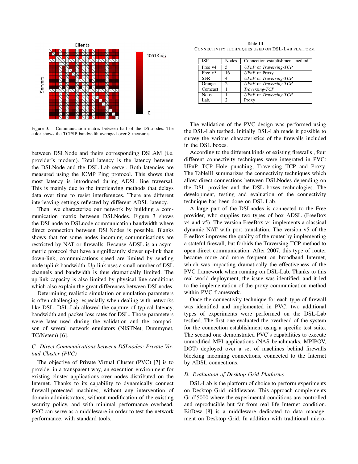

Figure 3. Communication matrix between half of the DSLnodes. The color shows the TCP/IP bandwidth averaged over 8 measures.

between DSLNode and theirs corresponding DSLAM (i.e. provider's modem). Total latency is the latency between the DSLNode and the DSL-Lab server. Both latencies are measured using the ICMP Ping protocol. This shows that most latency is introduced during ADSL line traversal. This is mainly due to the interleaving methods that delays data over time to resist interferences. There are different interleaving settings reflected by different ADSL latency.

Then, we characterize our network by building a communication matrix between DSLNodes. Figure 3 shows the DSLnode to DSLnode communication bandwidth where direct connection between DSLNodes is possible. Blanks shows that for some nodes incoming communications are restricted by NAT or firewalls. Because ADSL is an asymmetric protocol that have a significantly slower up-link than down-link, communications speed are limited by sending node uplink bandwidth. Up-link uses a small number of DSL channels and bandwidth is thus dramatically limited. The up-link capacity is also limited by physical line conditions which also explain the great differences between DSLnodes.

Determining realistic simulation or emulation parameters is often challenging, especially when dealing with networks like DSL. DSL-Lab allowed the capture of typical latency, bandwidth and packet loss rates for DSL. Those parameters were later used during the validation and the comparison of several network emulators (NISTNet, Dummynet, TC/Netem) [6].

# *C. Direct Communications between DSLnodes: Private Virtual Cluster (PVC)*

The objective of Private Virtual Cluster (PVC) [7] is to provide, in a transparent way, an execution environment for existing cluster applications over nodes distributed on the Internet. Thanks to its capability to dynamically connect firewall-protected machines, without any intervention of domain administrators, without modification of the existing security policy, and with minimal performance overhead, PVC can serve as a middleware in order to test the network performance, with standard tools.

Table III CONNECTIVITY TECHNIQUES USED ON DSL-LAB PLATFORM

| <b>ISP</b>          | <b>Nodes</b>   | Connection establishment method |
|---------------------|----------------|---------------------------------|
| Free v4             | 5              | UPnP or Traversing-TCP          |
| Free v <sub>5</sub> | 16             | $UPnP$ or $Proxy$               |
| <b>SFR</b>          | 4              | UPnP or Traversing-TCP          |
| Orange              | $\mathfrak{D}$ | <b>UPnP</b> or Traversing-TCP   |
| Comcast             |                | Traversing-TCP                  |
| <b>Noos</b>         |                | UPnP or Traversing-TCP          |
| Lab.                | C              | Proxy                           |

The validation of the PVC design was performed using the DSL-Lab testbed. Initially DSL-Lab made it possible to survey the various characteristics of the firewalls included in the DSL boxes.

According to the different kinds of existing firewalls , four different connectivity techniques were integrated in PVC: UPnP, TCP Hole punching, Traversing TCP and Proxy. The TableIII summarizes the connectivity techniques which allow direct connections between DSLNodes depending on the DSL provider and the DSL boxes technologies. The development, testing and evaluation of the connectivity technique has been done on DSL-Lab.

A large part of the DSLnodes is connected to the Free provider, who supplies two types of box ADSL (FreeBox v4 and v5). The version FreeBox v4 implements a classical dynamic NAT with port translation. The version v5 of the FreeBox improves the quality of the router by implementing a stateful firewall, but forbids the Traversing-TCP method to open direct communication. After 2007, this type of router became more and more frequent on broadband Internet, which was impacting dramatically the effectiveness of the PVC framework when running on DSL-Lab. Thanks to this real world deployment, the issue was identified, and it led to the implementation of the proxy communication method within PVC framework.

Once the connectivity technique for each type of firewall was identified and implemented in PVC, two additional types of experiments were performed on the DSL-Lab testbed. The first one evaluated the overhead of the system for the connection establishment using a specific test suite. The second one demonstrated PVC's capabilities to execute unmodified MPI applications (NAS benchmarks, MPIPOV, DOT) deployed over a set of machines behind firewalls blocking incoming connections, connected to the Internet by ADSL connections.

# *D. Evaluation of Desktop Grid Platforms*

DSL-Lab is the platform of choice to perform experiments on Desktop Grid middleware. This approach complements Grid'5000 where the experimental conditions are controlled and reproducible but far from real life Internet condition. BitDew [8] is a middleware dedicated to data management on Desktop Grid. In addition with traditional micro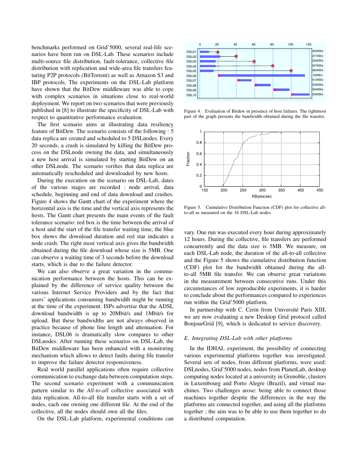benchmarks performed on Grid'5000, several real-life scenarios have been run on DSL-Lab. These scenarios include multi-source file distribution, fault-tolerance, collective file distribution with replication and wide-area file transfers featuring P2P protocols (BitTorrent) as well as Amazon S3 and IBP protocols. The experiments on the DSL-Lab platform have shown that the BitDew middleware was able to cope with complex scenarios in situations close to real-world deployment. We report on two scenarios that were previously published in [8] to illustrate the specificity of DSL-Lab with respect to quantitative performance evaluation.

The first scenario aims at illustrating data resiliency feature of BitDew. The scenario consists of the following : 5 data replica are created and scheduled to 5 DSLnodes. Every 20 seconds, a crash is simulated by killing the BitDew process on the DSLnode owning the data, and simultaneously a new host arrival is simulated by starting BitDew on an other DSLnode. The scenario verifies that data replica are automatically rescheduled and downloaded by new hosts.

During the execution on the scenario on DSL-Lab, dates of the various stages are recorded : node arrival, data schedule, beginning and end of data download and crashes. Figure 4 shows the Gantt chart of the experiment where the horizontal axis is the time and the vertical axis represents the hosts. The Gantt chart presents the main events of the fault tolerance scenario: red box is the time between the arrival of a host and the start of the file transfer waiting time, the blue box shows the download duration and red star indicates a node crash. The right most vertical axis gives the bandwidth obtained during the file download whose size is 5MB. One can observe a waiting time of 3 seconds before the download starts, which is due to the failure detector.

We can also observe a great variation in the communication performance between the hosts. This can be explained by the difference of service quality between the various Internet Service Providers and by the fact that users' applications consuming bandwidth might be running at the time of the experiment. ISPs advertise that the ADSL download bandwidth is up to 20Mbit/s and 1Mbit/s for upload. But these bandwidths are not always observed in practice because of phone line length and attenuation. For instance, DSL06 is dramatically slow compares to other DSLnodes. After running these scenarios on DSL-Lab, the BitDew middleware has been enhanced with a monitoring mechanism which allows to detect faults during file transfer to improve the failure detector responsiveness.

Real world parallel applications often require collective communication to exchange data between computation steps. The second scenario experiment with a communication pattern similar to the *All-to-all* collective associated with data replication. All-to-all file transfer starts with a set of nodes, each one owning one different file. At the end of the collective, all the nodes should own all the files.

On the DSL-Lab platform, experimental conditions can



Figure 4. Evaluation of Bitdew in presence of host failures. The rightmost part of the graph presents the bandwidth obtained during the file transfer.



Figure 5. Cumulative Distribution Function (CDF) plot for collective allto-all as measured on the 16 DSL-Lab nodes.

vary. One run was executed every hour during approximately 12 hours. During the collective, file transfers are performed concurrently and the data size is 5MB. We measure, on each DSL-Lab node, the duration of the all-to-all collective and the Figure 5 shows the cumulative distribution function (CDF) plot for the bandwidth obtained during the allto-all 5MB file transfer. We can observe great variations in the measurement between consecutive runs. Under this circumstances of low reproducible experiments, it is harder to conclude about the performances compared to experiences run within the Grid'5000 platform.

In partnership with C. Cerin from Université Paris XIII, we are now evaluating a new Desktop Grid protocol called BonjourGrid [9], which is dedicated to service discovery.

# *E. Integrating DSL-Lab with other platforms*

In the IDHAL experiment, the possibility of connecting various experimental platforms together was investigated. Several sets of nodes, from different platforms, were used: DSLnodes, Grid'5000 nodes, nodes from PlanetLab, desktop computing nodes located at a university in Grenoble, clusters in Luxembourg and Porto Alegre (Brazil), and virtual machines. Two challenges arose: being able to connect those machines together despite the differences in the way the platforms are connected together, and using all the platforms together ; the aim was to be able to use them together to do a distributed computation.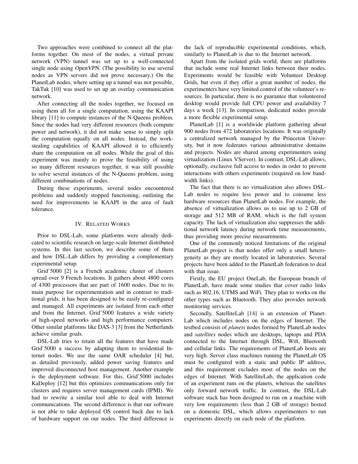Two approaches were combined to connect all the platforms together. On most of the nodes, a virtual private network (VPN) tunnel was set up to a well-connected single node using OpenVPN. (The possibility to use several nodes as VPN servers did not prove necessary.) On the PlanetLab nodes, where setting up a tunnel was not possible, TakTuk [10] was used to set up an overlay communication network.

After connecting all the nodes together, we focused on using them all for a single computation, using the KAAPI library [11] to compute instances of the N-Queens problem. Since the nodes had very different resources (both compute power and network), it did not make sense to simply split the computation equally on all nodes. Instead, the workstealing capabilities of KAAPI allowed it to efficiently share the computation on all nodes. While the goal of this experiment was mainly to prove the feasibility of using so many different resources together, it was still possible to solve several instances of the N-Queens problem, using different combinations of nodes.

During these experiments, several nodes encountered problems and suddenly stopped functioning, outlining the need for improvements in KAAPI in the area of fault tolerance.

#### IV. RELATED WORKS

Prior to DSL-Lab, some platforms were already dedicated to scientific research on large-scale Internet distributed systems. In this last section, we describe some of them and how DSL-Lab differs by providing a complementary experimental setup.

Grid'5000 [2] is a French academic cluster of clusters spread over 9 French locations. It gathers about 4800 cores of 4300 processors that are part of 1600 nodes. Due to its main purpose for experimentation and in contrast to traditional grids, it has been designed to be easily re-configured and managed. All experiments are isolated from each other and from the Internet. Grid'5000 features a wide variety of high-speed networks and high performance computers. Other similar platforms like DAS-3 [3] from the Netherlands achieve similar goals.

DSL-Lab tries to retain all the features that have made Grid'5000 a success by adapting them to residential Internet nodes. We use the same OAR scheduler [4] but, as detailed previously, added power saving features and improved disconnected host management. Another example is the deployment software. For this, Grid'5000 includes KaDeploy [12] but this optimizes communications only for clusters and requires server management cards (IPMI). We had to rewrite a similar tool able to deal with Internet communications. The second difference is that our software is not able to take deployed OS control back due to lack of hardware support on our nodes. The third difference is the lack of reproducible experimental conditions, which, similarly to PlanetLab is due to the Internet network.

Apart from the isolated grids world, there are platforms that include some real Internet links between their nodes. Experiments would be feasible with Volunteer Desktop Grids, but even if they offer a great number of nodes, the experimenters have very limited control of the volunteer's resources. In particular, there is no guarantee that volunteered desktop would provide full CPU power and availability 7 days a week [13]. In comparison, dedicated nodes provide a more flexible experimental setup.

PlanetLab [1] is a worldwide platform gathering about 900 nodes from 472 laboratories locations. It was originally a centralized network managed by the Princeton University, but it now federates various administrative domains and projects. Nodes are shared among experimenters using virtualization (Linux VServer). In contrast, DSL-Lab allows, optionally, exclusive full access to nodes in order to prevent interactions with others experiments (required on low bandwidth links).

The fact that there is no virtualization also allows DSL-Lab nodes to require less power and to consume less hardware resources than PlanetLab nodes. For example, the absence of virtualization allows us to use up to 2 GB of storage and 512 MB of RAM, which is the full system capacity. The lack of virtualization also suppresses the additional network latency during network time measurements, thus providing more precise measurements.

One of the commonly noticed limitations of the original PlanetLab project is that nodes offer only a small heterogeneity as they are mostly located in laboratories. Several projects have been added to the PlanetLab federation to deal with that issue.

Firstly, the EU project OneLab, the European branch of PlanetLab, have made some studies that cover radio links such as 802.16, UTMS and WiFi. They plan to works on the other types such as Bluetooth. They also provides network monitoring services.

Secondly, SatelliteLab [14] is an extension of Planet-Lab which includes nodes on the edges of Internet. The testbed consists of *planets* nodes formed by PlanetLab nodes and *satellites* nodes which are desktops, laptops and PDA connected to the Internet through DSL, Wifi, Bluetooth and cellular links. The requirements of PlanetLab hosts are very high. Server class machines running the PlanetLab OS must be configured with a static and public IP address, and this requirement excludes most of the nodes on the edges of Internet. With SatelliteLab, the application code of an experiment runs on the planets, whereas the satellites only forward network traffic. In contrast, the DSL-Lab software stack has been designed to run on a machine with very low requirements (less than 2 GB of storage) hosted on a domestic DSL, which allows experimenters to run experiments directly on each node of the platform.